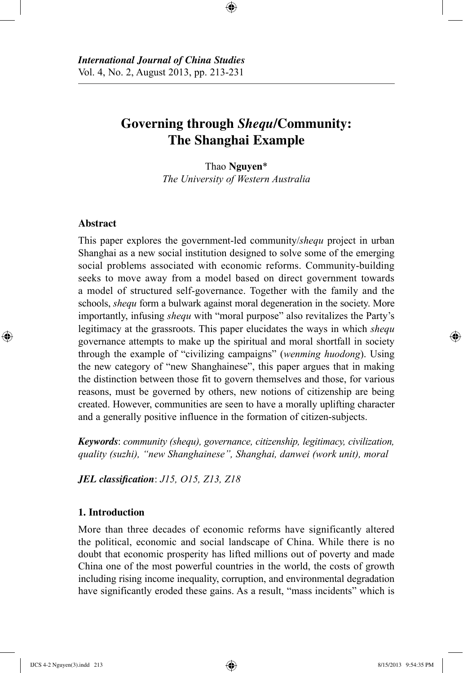# **Governing through** *Shequ***/Community: The Shanghai Example**

⊕

Thao **Nguyen**\* *The University of Western Australia*

# **Abstract**

⊕

This paper explores the government-led community/*shequ* project in urban Shanghai as a new social institution designed to solve some of the emerging social problems associated with economic reforms. Community-building seeks to move away from a model based on direct government towards a model of structured self-governance. Together with the family and the schools, *shequ* form a bulwark against moral degeneration in the society. More importantly, infusing *shequ* with "moral purpose" also revitalizes the Party's legitimacy at the grassroots. This paper elucidates the ways in which *shequ* governance attempts to make up the spiritual and moral shortfall in society through the example of "civilizing campaigns" (*wenming huodong*). Using the new category of "new Shanghainese", this paper argues that in making the distinction between those fit to govern themselves and those, for various reasons, must be governed by others, new notions of citizenship are being created. However, communities are seen to have a morally uplifting character and a generally positive influence in the formation of citizen-subjects.

*Keywords*: *community (shequ), governance, citizenship, legitimacy, civilization, quality (suzhi), "new Shanghainese", Shanghai, danwei (work unit), moral*

*JEL classification*: *J15, O15, Z13, Z18*

# **1. Introduction**

More than three decades of economic reforms have significantly altered the political, economic and social landscape of China. While there is no doubt that economic prosperity has lifted millions out of poverty and made China one of the most powerful countries in the world, the costs of growth including rising income inequality, corruption, and environmental degradation have significantly eroded these gains. As a result, "mass incidents" which is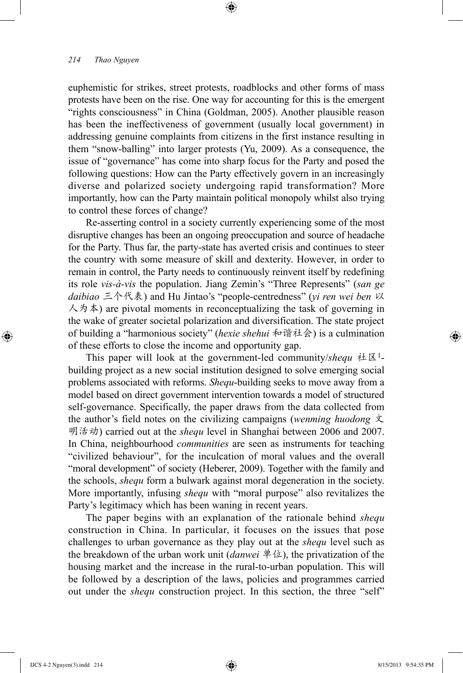euphemistic for strikes, street protests, roadblocks and other forms of mass protests have been on the rise. One way for accounting for this is the emergent "rights consciousness" in China (Goldman, 2005). Another plausible reason has been the ineffectiveness of government (usually local government) in addressing genuine complaints from citizens in the first instance resulting in them "snow-balling" into larger protests (Yu, 2009). As a consequence, the issue of "governance" has come into sharp focus for the Party and posed the following questions: How can the Party effectively govern in an increasingly diverse and polarized society undergoing rapid transformation? More importantly, how can the Party maintain political monopoly whilst also trying to control these forces of change?

⊕

Re-asserting control in a society currently experiencing some of the most disruptive changes has been an ongoing preoccupation and source of headache for the Party. Thus far, the party-state has averted crisis and continues to steer the country with some measure of skill and dexterity. However, in order to remain in control, the Party needs to continuously reinvent itself by redefining its role *vis-à-vis* the population. Jiang Zemin's "Three Represents" (*san ge daibiao* 三个代表) and Hu Jintao's "people-centredness" (*yi ren wei ben* 以  $\lambda$   $\phi$   $\phi$  are pivotal moments in reconceptualizing the task of governing in the wake of greater societal polarization and diversification. The state project of building a "harmonious society" (*hexie shehui* 和谐社会) is a culmination of these efforts to close the income and opportunity gap.

This paper will look at the government-led community/*shequ* 社区1 building project as a new social institution designed to solve emerging social problems associated with reforms. *Shequ*-building seeks to move away from a model based on direct government intervention towards a model of structured self-governance. Specifically, the paper draws from the data collected from the author's field notes on the civilizing campaigns (*wenming huodong* 文 明活动) carried out at the *shequ* level in Shanghai between 2006 and 2007. In China, neighbourhood *communities* are seen as instruments for teaching "civilized behaviour", for the inculcation of moral values and the overall "moral development" of society (Heberer, 2009). Together with the family and the schools, *shequ* form a bulwark against moral degeneration in the society. More importantly, infusing *shequ* with "moral purpose" also revitalizes the Party's legitimacy which has been waning in recent years.

The paper begins with an explanation of the rationale behind *shequ* construction in China. In particular, it focuses on the issues that pose challenges to urban governance as they play out at the *shequ* level such as the breakdown of the urban work unit (*danwei* 单位), the privatization of the housing market and the increase in the rural-to-urban population. This will be followed by a description of the laws, policies and programmes carried out under the *shequ* construction project. In this section, the three "self"

⊕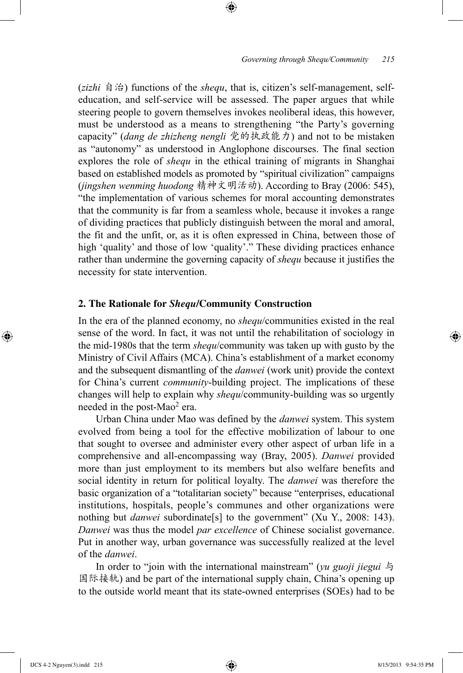(*zizhi* 自治) functions of the *shequ*, that is, citizen's self-management, selfeducation, and self-service will be assessed. The paper argues that while steering people to govern themselves invokes neoliberal ideas, this however, must be understood as a means to strengthening "the Party's governing capacity" (*dang de zhizheng nengli* 党的执政能力) and not to be mistaken as "autonomy" as understood in Anglophone discourses. The final section explores the role of *shequ* in the ethical training of migrants in Shanghai based on established models as promoted by "spiritual civilization" campaigns (*jingshen wenming huodong* 精神文明活动). According to Bray (2006: 545), "the implementation of various schemes for moral accounting demonstrates that the community is far from a seamless whole, because it invokes a range of dividing practices that publicly distinguish between the moral and amoral, the fit and the unfit, or, as it is often expressed in China, between those of high 'quality' and those of low 'quality'." These dividing practices enhance rather than undermine the governing capacity of *shequ* because it justifies the necessity for state intervention.

⊕

### **2. The Rationale for** *Shequ***/Community Construction**

In the era of the planned economy, no *shequ*/communities existed in the real sense of the word. In fact, it was not until the rehabilitation of sociology in the mid-1980s that the term *shequ*/community was taken up with gusto by the Ministry of Civil Affairs (MCA). China's establishment of a market economy and the subsequent dismantling of the *danwei* (work unit) provide the context for China's current *community*-building project. The implications of these changes will help to explain why *shequ*/community-building was so urgently needed in the post-Mao<sup>2</sup> era.

Urban China under Mao was defined by the *danwei* system. This system evolved from being a tool for the effective mobilization of labour to one that sought to oversee and administer every other aspect of urban life in a comprehensive and all-encompassing way (Bray, 2005). *Danwei* provided more than just employment to its members but also welfare benefits and social identity in return for political loyalty. The *danwei* was therefore the basic organization of a "totalitarian society" because "enterprises, educational institutions, hospitals, people's communes and other organizations were nothing but *danwei* subordinate[s] to the government" (Xu Y., 2008: 143). *Danwei* was thus the model *par excellence* of Chinese socialist governance. Put in another way, urban governance was successfully realized at the level of the *danwei*.

In order to "join with the international mainstream" (*yu guoji jiegui* 与 国际接轨) and be part of the international supply chain, China's opening up to the outside world meant that its state-owned enterprises (SOEs) had to be

⊕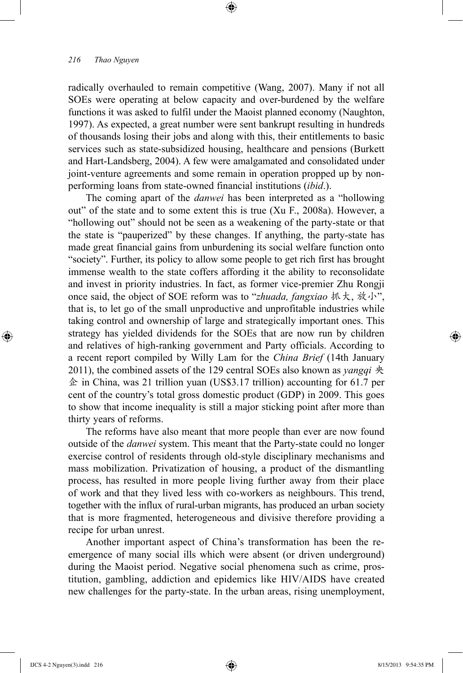radically overhauled to remain competitive (Wang, 2007). Many if not all SOEs were operating at below capacity and over-burdened by the welfare functions it was asked to fulfil under the Maoist planned economy (Naughton, 1997). As expected, a great number were sent bankrupt resulting in hundreds of thousands losing their jobs and along with this, their entitlements to basic services such as state-subsidized housing, healthcare and pensions (Burkett and Hart-Landsberg, 2004). A few were amalgamated and consolidated under joint-venture agreements and some remain in operation propped up by nonperforming loans from state-owned financial institutions (*ibid*.).

⊕

The coming apart of the *danwei* has been interpreted as a "hollowing out" of the state and to some extent this is true (Xu F., 2008a). However, a "hollowing out" should not be seen as a weakening of the party-state or that the state is "pauperized" by these changes. If anything, the party-state has made great financial gains from unburdening its social welfare function onto "society". Further, its policy to allow some people to get rich first has brought immense wealth to the state coffers affording it the ability to reconsolidate and invest in priority industries. In fact, as former vice-premier Zhu Rongji once said, the object of SOE reform was to "*zhuada, fangxiao* 抓大, 放小", that is, to let go of the small unproductive and unprofitable industries while taking control and ownership of large and strategically important ones. This strategy has yielded dividends for the SOEs that are now run by children and relatives of high-ranking government and Party officials. According to a recent report compiled by Willy Lam for the *China Brief* (14th January 2011), the combined assets of the 129 central SOEs also known as *yangqi* 央  $\hat{\Phi}$  in China, was 21 trillion yuan (US\$3.17 trillion) accounting for 61.7 per cent of the country's total gross domestic product (GDP) in 2009. This goes to show that income inequality is still a major sticking point after more than thirty years of reforms.

The reforms have also meant that more people than ever are now found outside of the *danwei* system. This meant that the Party-state could no longer exercise control of residents through old-style disciplinary mechanisms and mass mobilization. Privatization of housing, a product of the dismantling process, has resulted in more people living further away from their place of work and that they lived less with co-workers as neighbours. This trend, together with the influx of rural-urban migrants, has produced an urban society that is more fragmented, heterogeneous and divisive therefore providing a recipe for urban unrest.

Another important aspect of China's transformation has been the reemergence of many social ills which were absent (or driven underground) during the Maoist period. Negative social phenomena such as crime, prostitution, gambling, addiction and epidemics like HIV/AIDS have created new challenges for the party-state. In the urban areas, rising unemployment,

⊕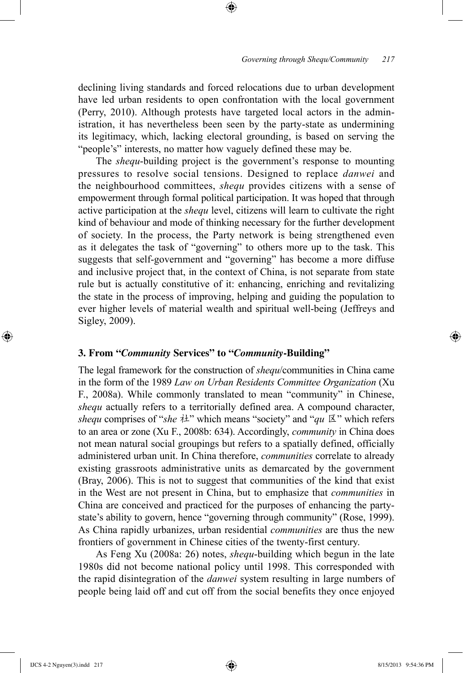declining living standards and forced relocations due to urban development have led urban residents to open confrontation with the local government (Perry, 2010). Although protests have targeted local actors in the administration, it has nevertheless been seen by the party-state as undermining its legitimacy, which, lacking electoral grounding, is based on serving the "people's" interests, no matter how vaguely defined these may be.

⊕

The *shequ*-building project is the government's response to mounting pressures to resolve social tensions. Designed to replace *danwei* and the neighbourhood committees, *shequ* provides citizens with a sense of empowerment through formal political participation. It was hoped that through active participation at the *shequ* level, citizens will learn to cultivate the right kind of behaviour and mode of thinking necessary for the further development of society. In the process, the Party network is being strengthened even as it delegates the task of "governing" to others more up to the task. This suggests that self-government and "governing" has become a more diffuse and inclusive project that, in the context of China, is not separate from state rule but is actually constitutive of it: enhancing, enriching and revitalizing the state in the process of improving, helping and guiding the population to ever higher levels of material wealth and spiritual well-being (Jeffreys and Sigley, 2009).

# **3. From "***Community* **Services" to "***Community***-Building"**

The legal framework for the construction of *shequ*/communities in China came in the form of the 1989 *Law on Urban Residents Committee Organization* (Xu F., 2008a). While commonly translated to mean "community" in Chinese, *shequ* actually refers to a territorially defined area. A compound character, *shequ* comprises of "*she* 社" which means "society" and "*qu* 区" which refers to an area or zone (Xu F., 2008b: 634). Accordingly, *community* in China does not mean natural social groupings but refers to a spatially defined, officially administered urban unit. In China therefore, *communities* correlate to already existing grassroots administrative units as demarcated by the government (Bray, 2006). This is not to suggest that communities of the kind that exist in the West are not present in China, but to emphasize that *communities* in China are conceived and practiced for the purposes of enhancing the partystate's ability to govern, hence "governing through community" (Rose, 1999). As China rapidly urbanizes, urban residential *communities* are thus the new frontiers of government in Chinese cities of the twenty-first century.

As Feng Xu (2008a: 26) notes, *shequ*-building which begun in the late 1980s did not become national policy until 1998. This corresponded with the rapid disintegration of the *danwei* system resulting in large numbers of people being laid off and cut off from the social benefits they once enjoyed

⊕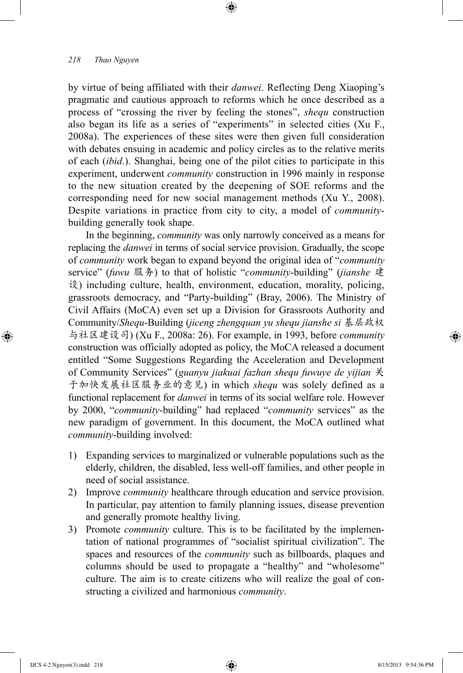by virtue of being affiliated with their *danwei*. Reflecting Deng Xiaoping's pragmatic and cautious approach to reforms which he once described as a process of "crossing the river by feeling the stones", *shequ* construction also began its life as a series of "experiments" in selected cities (Xu F., 2008a). The experiences of these sites were then given full consideration with debates ensuing in academic and policy circles as to the relative merits of each (*ibid*.). Shanghai, being one of the pilot cities to participate in this experiment, underwent *community* construction in 1996 mainly in response to the new situation created by the deepening of SOE reforms and the corresponding need for new social management methods (Xu Y., 2008). Despite variations in practice from city to city, a model of *community*building generally took shape.

⊕

In the beginning, *community* was only narrowly conceived as a means for replacing the *danwei* in terms of social service provision. Gradually, the scope of *community* work began to expand beyond the original idea of "*community* service" (*fuwu* 服务) to that of holistic "*community*-building" (*jianshe* 建 设) including culture, health, environment, education, morality, policing, grassroots democracy, and "Party-building" (Bray, 2006). The Ministry of Civil Affairs (MoCA) even set up a Division for Grassroots Authority and Community/*Shequ*-Building (*jiceng zhengquan yu shequ jianshe si* 基层政权 与社区建设司) (Xu F., 2008a: 26). For example, in 1993, before *community* construction was officially adopted as policy, the MoCA released a document entitled "Some Suggestions Regarding the Acceleration and Development of Community Services" (*guanyu jiakuai fazhan shequ fuwuye de yijian* 关 于加快发展社区服务业的意见) in which *shequ* was solely defined as a functional replacement for *danwei* in terms of its social welfare role. However by 2000, "*community*-building" had replaced "*community* services" as the new paradigm of government. In this document, the MoCA outlined what *community*-building involved:

- 1) Expanding services to marginalized or vulnerable populations such as the elderly, children, the disabled, less well-off families, and other people in need of social assistance.
- 2) Improve *community* healthcare through education and service provision. In particular, pay attention to family planning issues, disease prevention and generally promote healthy living.
- 3) Promote *community* culture. This is to be facilitated by the implementation of national programmes of "socialist spiritual civilization". The spaces and resources of the *community* such as billboards, plaques and columns should be used to propagate a "healthy" and "wholesome" culture. The aim is to create citizens who will realize the goal of constructing a civilized and harmonious *community*.

⊕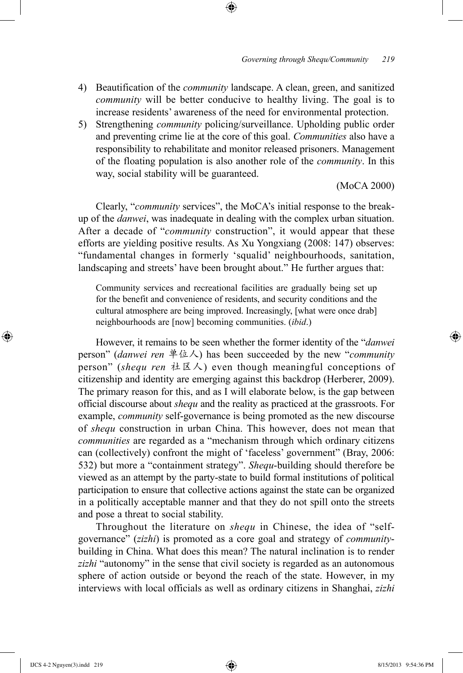4) Beautification of the *community* landscape. A clean, green, and sanitized *community* will be better conducive to healthy living. The goal is to increase residents' awareness of the need for environmental protection.

⊕

5) Strengthening *community* policing/surveillance. Upholding public order and preventing crime lie at the core of this goal. *Communities* also have a responsibility to rehabilitate and monitor released prisoners. Management of the floating population is also another role of the *community*. In this way, social stability will be guaranteed.

(MoCA 2000)

Clearly, "*community* services", the MoCA's initial response to the breakup of the *danwei*, was inadequate in dealing with the complex urban situation. After a decade of "*community* construction", it would appear that these efforts are yielding positive results. As Xu Yongxiang (2008: 147) observes: "fundamental changes in formerly 'squalid' neighbourhoods, sanitation, landscaping and streets' have been brought about." He further argues that:

Community services and recreational facilities are gradually being set up for the benefit and convenience of residents, and security conditions and the cultural atmosphere are being improved. Increasingly, [what were once drab] neighbourhoods are [now] becoming communities. (*ibid*.)

However, it remains to be seen whether the former identity of the "*danwei* person" (*danwei ren* 单位人) has been succeeded by the new "*community* person" (*shequ ren* 社区人) even though meaningful conceptions of citizenship and identity are emerging against this backdrop (Herberer, 2009). The primary reason for this, and as I will elaborate below, is the gap between official discourse about *shequ* and the reality as practiced at the grassroots. For example, *community* self-governance is being promoted as the new discourse of *shequ* construction in urban China. This however, does not mean that *communities* are regarded as a "mechanism through which ordinary citizens can (collectively) confront the might of 'faceless' government" (Bray, 2006: 532) but more a "containment strategy". *Shequ*-building should therefore be viewed as an attempt by the party-state to build formal institutions of political participation to ensure that collective actions against the state can be organized in a politically acceptable manner and that they do not spill onto the streets and pose a threat to social stability.

Throughout the literature on *shequ* in Chinese, the idea of "selfgovernance" (*zizhi*) is promoted as a core goal and strategy of *community*building in China. What does this mean? The natural inclination is to render *zizhi* "autonomy" in the sense that civil society is regarded as an autonomous sphere of action outside or beyond the reach of the state. However, in my interviews with local officials as well as ordinary citizens in Shanghai, *zizhi*

⊕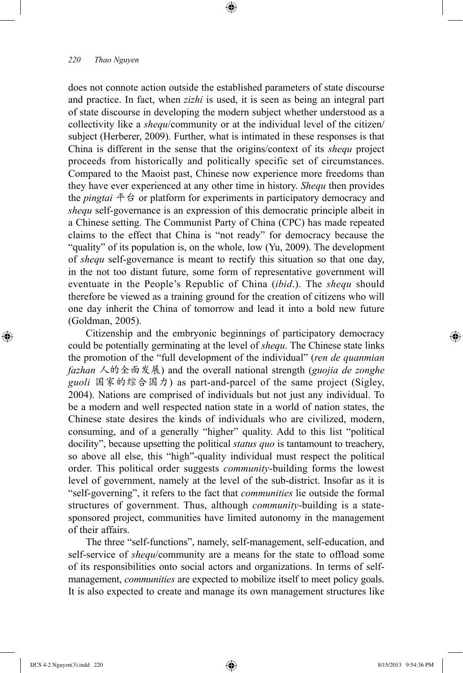does not connote action outside the established parameters of state discourse and practice. In fact, when *zizhi* is used, it is seen as being an integral part of state discourse in developing the modern subject whether understood as a collectivity like a *shequ*/community or at the individual level of the citizen/ subject (Herberer, 2009). Further, what is intimated in these responses is that China is different in the sense that the origins/context of its *shequ* project proceeds from historically and politically specific set of circumstances. Compared to the Maoist past, Chinese now experience more freedoms than they have ever experienced at any other time in history. *Shequ* then provides the *pingtai* 平台 or platform for experiments in participatory democracy and *shequ* self-governance is an expression of this democratic principle albeit in a Chinese setting. The Communist Party of China (CPC) has made repeated claims to the effect that China is "not ready" for democracy because the "quality" of its population is, on the whole, low (Yu, 2009). The development of *shequ* self-governance is meant to rectify this situation so that one day, in the not too distant future, some form of representative government will eventuate in the People's Republic of China (*ibid*.). The *shequ* should therefore be viewed as a training ground for the creation of citizens who will one day inherit the China of tomorrow and lead it into a bold new future (Goldman, 2005).

⊕

Citizenship and the embryonic beginnings of participatory democracy could be potentially germinating at the level of *shequ*. The Chinese state links the promotion of the "full development of the individual" (*ren de quanmian fazhan* 人的全面发展) and the overall national strength (*guojia de zonghe guoli* 国家的综合国力) as part-and-parcel of the same project (Sigley, 2004). Nations are comprised of individuals but not just any individual. To be a modern and well respected nation state in a world of nation states, the Chinese state desires the kinds of individuals who are civilized, modern, consuming, and of a generally "higher" quality. Add to this list "political docility", because upsetting the political *status quo* is tantamount to treachery, so above all else, this "high"-quality individual must respect the political order. This political order suggests *community*-building forms the lowest level of government, namely at the level of the sub-district. Insofar as it is "self-governing", it refers to the fact that *communities* lie outside the formal structures of government. Thus, although *community*-building is a statesponsored project, communities have limited autonomy in the management of their affairs.

The three "self-functions", namely, self-management, self-education, and self-service of *shequ*/community are a means for the state to offload some of its responsibilities onto social actors and organizations. In terms of selfmanagement, *communities* are expected to mobilize itself to meet policy goals. It is also expected to create and manage its own management structures like

⊕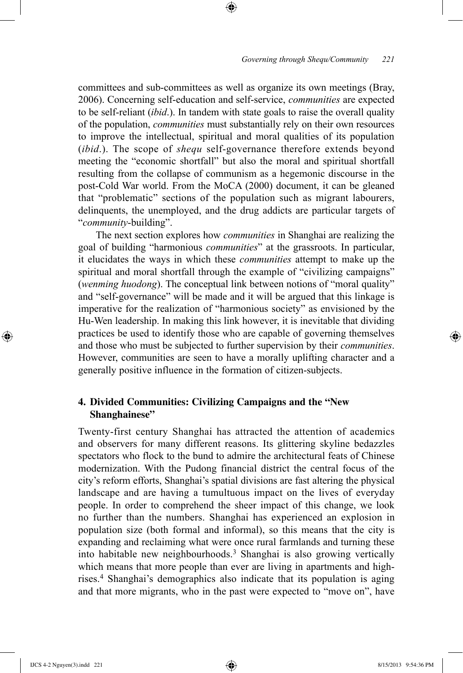committees and sub-committees as well as organize its own meetings (Bray, 2006). Concerning self-education and self-service, *communities* are expected to be self-reliant (*ibid*.). In tandem with state goals to raise the overall quality of the population, *communities* must substantially rely on their own resources to improve the intellectual, spiritual and moral qualities of its population (*ibid*.). The scope of *shequ* self-governance therefore extends beyond meeting the "economic shortfall" but also the moral and spiritual shortfall resulting from the collapse of communism as a hegemonic discourse in the post-Cold War world. From the MoCA (2000) document, it can be gleaned that "problematic" sections of the population such as migrant labourers, delinquents, the unemployed, and the drug addicts are particular targets of "*community*-building".

⊕

The next section explores how *communities* in Shanghai are realizing the goal of building "harmonious *communities*" at the grassroots. In particular, it elucidates the ways in which these *communities* attempt to make up the spiritual and moral shortfall through the example of "civilizing campaigns" (*wenming huodong*). The conceptual link between notions of "moral quality" and "self-governance" will be made and it will be argued that this linkage is imperative for the realization of "harmonious society" as envisioned by the Hu-Wen leadership. In making this link however, it is inevitable that dividing practices be used to identify those who are capable of governing themselves and those who must be subjected to further supervision by their *communities*. However, communities are seen to have a morally uplifting character and a generally positive influence in the formation of citizen-subjects.

# **4. Divided Communities: Civilizing Campaigns and the "New Shanghainese"**

Twenty-first century Shanghai has attracted the attention of academics and observers for many different reasons. Its glittering skyline bedazzles spectators who flock to the bund to admire the architectural feats of Chinese modernization. With the Pudong financial district the central focus of the city's reform efforts, Shanghai's spatial divisions are fast altering the physical landscape and are having a tumultuous impact on the lives of everyday people. In order to comprehend the sheer impact of this change, we look no further than the numbers. Shanghai has experienced an explosion in population size (both formal and informal), so this means that the city is expanding and reclaiming what were once rural farmlands and turning these into habitable new neighbourhoods.3 Shanghai is also growing vertically which means that more people than ever are living in apartments and highrises.4 Shanghai's demographics also indicate that its population is aging and that more migrants, who in the past were expected to "move on", have

⊕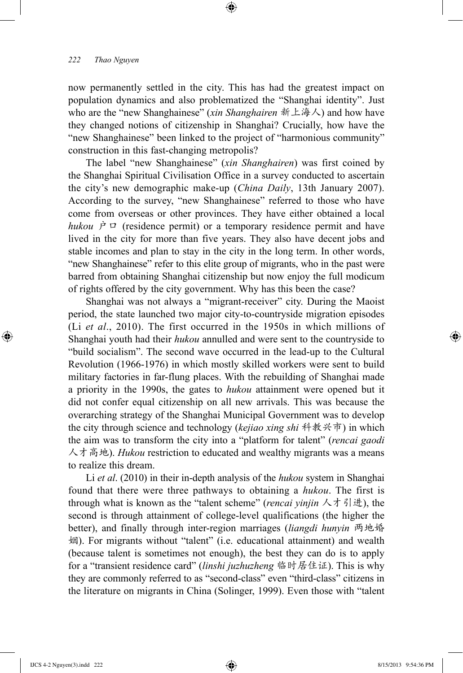now permanently settled in the city. This has had the greatest impact on population dynamics and also problematized the "Shanghai identity". Just who are the "new Shanghainese" (*xin Shanghairen* 新上海人) and how have they changed notions of citizenship in Shanghai? Crucially, how have the "new Shanghainese" been linked to the project of "harmonious community" construction in this fast-changing metropolis?

⊕

The label "new Shanghainese" (*xin Shanghairen*) was first coined by the Shanghai Spiritual Civilisation Office in a survey conducted to ascertain the city's new demographic make-up (*China Daily*, 13th January 2007). According to the survey, "new Shanghainese" referred to those who have come from overseas or other provinces. They have either obtained a local *hukou*  $\dot{P} \Box$  (residence permit) or a temporary residence permit and have lived in the city for more than five years. They also have decent jobs and stable incomes and plan to stay in the city in the long term. In other words, "new Shanghainese" refer to this elite group of migrants, who in the past were barred from obtaining Shanghai citizenship but now enjoy the full modicum of rights offered by the city government. Why has this been the case?

Shanghai was not always a "migrant-receiver" city. During the Maoist period, the state launched two major city-to-countryside migration episodes (Li *et al*., 2010). The first occurred in the 1950s in which millions of Shanghai youth had their *hukou* annulled and were sent to the countryside to "build socialism". The second wave occurred in the lead-up to the Cultural Revolution (1966-1976) in which mostly skilled workers were sent to build military factories in far-flung places. With the rebuilding of Shanghai made a priority in the 1990s, the gates to *hukou* attainment were opened but it did not confer equal citizenship on all new arrivals. This was because the overarching strategy of the Shanghai Municipal Government was to develop the city through science and technology (*kejiao xing shi* 科教兴市) in which the aim was to transform the city into a "platform for talent" (*rencai gaodi* 人才高地). *Hukou* restriction to educated and wealthy migrants was a means to realize this dream.

Li *et al*. (2010) in their in-depth analysis of the *hukou* system in Shanghai found that there were three pathways to obtaining a *hukou*. The first is through what is known as the "talent scheme" (*rencai yinjin* 人才引进), the second is through attainment of college-level qualifications (the higher the better), and finally through inter-region marriages (*liangdi hunyin* 两地婚 姻). For migrants without "talent" (i.e. educational attainment) and wealth (because talent is sometimes not enough), the best they can do is to apply for a "transient residence card" (*linshi juzhuzheng* 临时居住证). This is why they are commonly referred to as "second-class" even "third-class" citizens in the literature on migrants in China (Solinger, 1999). Even those with "talent

⊕

↔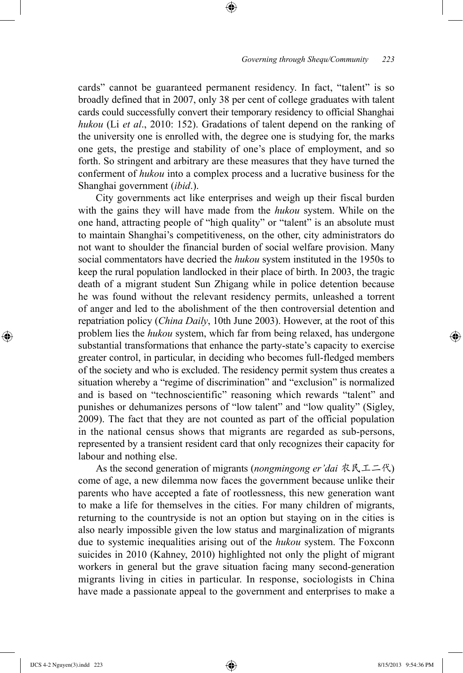cards" cannot be guaranteed permanent residency. In fact, "talent" is so broadly defined that in 2007, only 38 per cent of college graduates with talent cards could successfully convert their temporary residency to official Shanghai *hukou* (Li *et al*., 2010: 152). Gradations of talent depend on the ranking of the university one is enrolled with, the degree one is studying for, the marks one gets, the prestige and stability of one's place of employment, and so forth. So stringent and arbitrary are these measures that they have turned the conferment of *hukou* into a complex process and a lucrative business for the Shanghai government (*ibid*.).

⊕

City governments act like enterprises and weigh up their fiscal burden with the gains they will have made from the *hukou* system. While on the one hand, attracting people of "high quality" or "talent" is an absolute must to maintain Shanghai's competitiveness, on the other, city administrators do not want to shoulder the financial burden of social welfare provision. Many social commentators have decried the *hukou* system instituted in the 1950s to keep the rural population landlocked in their place of birth. In 2003, the tragic death of a migrant student Sun Zhigang while in police detention because he was found without the relevant residency permits, unleashed a torrent of anger and led to the abolishment of the then controversial detention and repatriation policy (*China Daily*, 10th June 2003). However, at the root of this problem lies the *hukou* system, which far from being relaxed, has undergone substantial transformations that enhance the party-state's capacity to exercise greater control, in particular, in deciding who becomes full-fledged members of the society and who is excluded. The residency permit system thus creates a situation whereby a "regime of discrimination" and "exclusion" is normalized and is based on "technoscientific" reasoning which rewards "talent" and punishes or dehumanizes persons of "low talent" and "low quality" (Sigley, 2009). The fact that they are not counted as part of the official population in the national census shows that migrants are regarded as sub-persons, represented by a transient resident card that only recognizes their capacity for labour and nothing else.

As the second generation of migrants (*nongmingong er'dai* 农民工二代) come of age, a new dilemma now faces the government because unlike their parents who have accepted a fate of rootlessness, this new generation want to make a life for themselves in the cities. For many children of migrants, returning to the countryside is not an option but staying on in the cities is also nearly impossible given the low status and marginalization of migrants due to systemic inequalities arising out of the *hukou* system. The Foxconn suicides in 2010 (Kahney, 2010) highlighted not only the plight of migrant workers in general but the grave situation facing many second-generation migrants living in cities in particular. In response, sociologists in China have made a passionate appeal to the government and enterprises to make a

⊕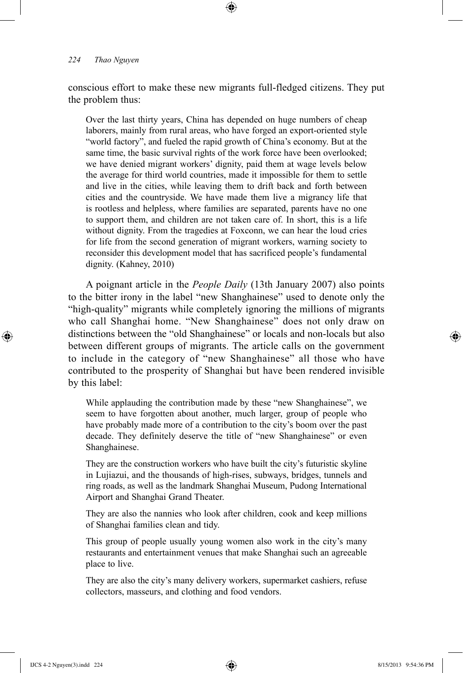conscious effort to make these new migrants full-fledged citizens. They put the problem thus:

⊕

Over the last thirty years, China has depended on huge numbers of cheap laborers, mainly from rural areas, who have forged an export-oriented style "world factory", and fueled the rapid growth of China's economy. But at the same time, the basic survival rights of the work force have been overlooked; we have denied migrant workers' dignity, paid them at wage levels below the average for third world countries, made it impossible for them to settle and live in the cities, while leaving them to drift back and forth between cities and the countryside. We have made them live a migrancy life that is rootless and helpless, where families are separated, parents have no one to support them, and children are not taken care of. In short, this is a life without dignity. From the tragedies at Foxconn, we can hear the loud cries for life from the second generation of migrant workers, warning society to reconsider this development model that has sacrificed people's fundamental dignity. (Kahney, 2010)

A poignant article in the *People Daily* (13th January 2007) also points to the bitter irony in the label "new Shanghainese" used to denote only the "high-quality" migrants while completely ignoring the millions of migrants who call Shanghai home. "New Shanghainese" does not only draw on distinctions between the "old Shanghainese" or locals and non-locals but also between different groups of migrants. The article calls on the government to include in the category of "new Shanghainese" all those who have contributed to the prosperity of Shanghai but have been rendered invisible by this label:

While applauding the contribution made by these "new Shanghainese", we seem to have forgotten about another, much larger, group of people who have probably made more of a contribution to the city's boom over the past decade. They definitely deserve the title of "new Shanghainese" or even Shanghainese.

They are the construction workers who have built the city's futuristic skyline in Lujiazui, and the thousands of high-rises, subways, bridges, tunnels and ring roads, as well as the landmark Shanghai Museum, Pudong International Airport and Shanghai Grand Theater.

They are also the nannies who look after children, cook and keep millions of Shanghai families clean and tidy.

This group of people usually young women also work in the city's many restaurants and entertainment venues that make Shanghai such an agreeable place to live.

They are also the city's many delivery workers, supermarket cashiers, refuse collectors, masseurs, and clothing and food vendors.

IJCS 4-2 Nguyen(3).indd 224 8/15/2013 9:54:36 PM

⊕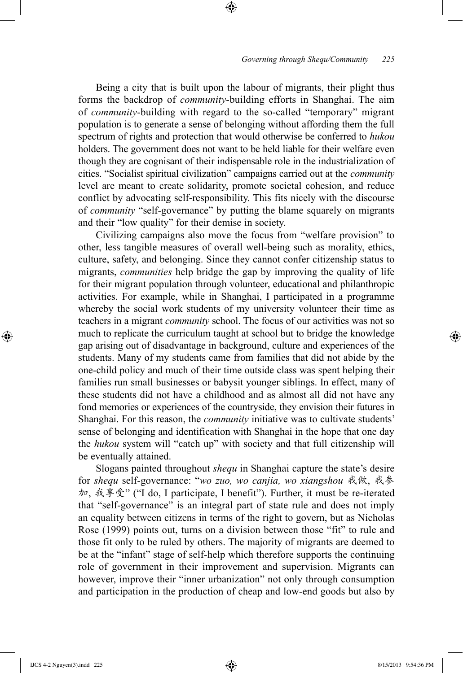Being a city that is built upon the labour of migrants, their plight thus forms the backdrop of *community*-building efforts in Shanghai. The aim of *community*-building with regard to the so-called "temporary" migrant population is to generate a sense of belonging without affording them the full spectrum of rights and protection that would otherwise be conferred to *hukou* holders. The government does not want to be held liable for their welfare even though they are cognisant of their indispensable role in the industrialization of cities. "Socialist spiritual civilization" campaigns carried out at the *community* level are meant to create solidarity, promote societal cohesion, and reduce conflict by advocating self-responsibility. This fits nicely with the discourse of *community* "self-governance" by putting the blame squarely on migrants and their "low quality" for their demise in society.

⊕

Civilizing campaigns also move the focus from "welfare provision" to other, less tangible measures of overall well-being such as morality, ethics, culture, safety, and belonging. Since they cannot confer citizenship status to migrants, *communities* help bridge the gap by improving the quality of life for their migrant population through volunteer, educational and philanthropic activities. For example, while in Shanghai, I participated in a programme whereby the social work students of my university volunteer their time as teachers in a migrant *community* school. The focus of our activities was not so much to replicate the curriculum taught at school but to bridge the knowledge gap arising out of disadvantage in background, culture and experiences of the students. Many of my students came from families that did not abide by the one-child policy and much of their time outside class was spent helping their families run small businesses or babysit younger siblings. In effect, many of these students did not have a childhood and as almost all did not have any fond memories or experiences of the countryside, they envision their futures in Shanghai. For this reason, the *community* initiative was to cultivate students' sense of belonging and identification with Shanghai in the hope that one day the *hukou* system will "catch up" with society and that full citizenship will be eventually attained.

Slogans painted throughout *shequ* in Shanghai capture the state's desire for *shequ* self-governance: "*wo zuo, wo canjia, wo xiangshou* 我做, 我参 加, 我享受" ("I do, I participate, I benefit"). Further, it must be re-iterated that "self-governance" is an integral part of state rule and does not imply an equality between citizens in terms of the right to govern, but as Nicholas Rose (1999) points out, turns on a division between those "fit" to rule and those fit only to be ruled by others. The majority of migrants are deemed to be at the "infant" stage of self-help which therefore supports the continuing role of government in their improvement and supervision. Migrants can however, improve their "inner urbanization" not only through consumption and participation in the production of cheap and low-end goods but also by

IJCS 4-2 Nguyen(3).indd 225 8/15/2013 9:54:36 PM

⊕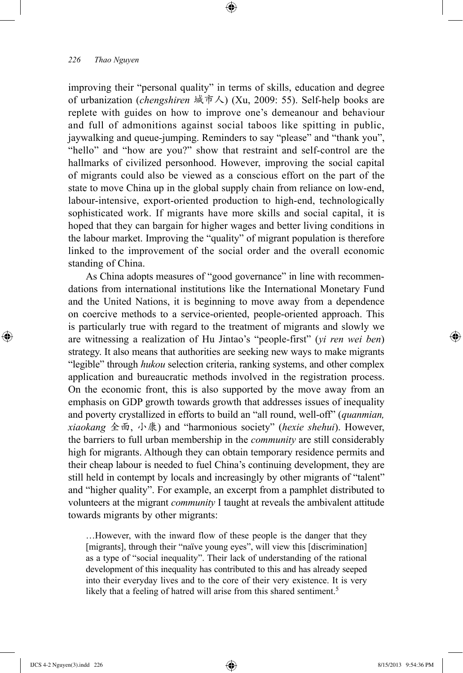improving their "personal quality" in terms of skills, education and degree of urbanization (*chengshiren* 城市人) (Xu, 2009: 55). Self-help books are replete with guides on how to improve one's demeanour and behaviour and full of admonitions against social taboos like spitting in public, jaywalking and queue-jumping. Reminders to say "please" and "thank you", "hello" and "how are you?" show that restraint and self-control are the hallmarks of civilized personhood. However, improving the social capital of migrants could also be viewed as a conscious effort on the part of the state to move China up in the global supply chain from reliance on low-end, labour-intensive, export-oriented production to high-end, technologically sophisticated work. If migrants have more skills and social capital, it is hoped that they can bargain for higher wages and better living conditions in the labour market. Improving the "quality" of migrant population is therefore linked to the improvement of the social order and the overall economic standing of China.

⊕

As China adopts measures of "good governance" in line with recommendations from international institutions like the International Monetary Fund and the United Nations, it is beginning to move away from a dependence on coercive methods to a service-oriented, people-oriented approach. This is particularly true with regard to the treatment of migrants and slowly we are witnessing a realization of Hu Jintao's "people-first" (*yi ren wei ben*) strategy. It also means that authorities are seeking new ways to make migrants "legible" through *hukou* selection criteria, ranking systems, and other complex application and bureaucratic methods involved in the registration process. On the economic front, this is also supported by the move away from an emphasis on GDP growth towards growth that addresses issues of inequality and poverty crystallized in efforts to build an "all round, well-off" (*quanmian, xiaokang* 全面, 小康) and "harmonious society" (*hexie shehui*). However, the barriers to full urban membership in the *community* are still considerably high for migrants. Although they can obtain temporary residence permits and their cheap labour is needed to fuel China's continuing development, they are still held in contempt by locals and increasingly by other migrants of "talent" and "higher quality". For example, an excerpt from a pamphlet distributed to volunteers at the migrant *community* I taught at reveals the ambivalent attitude towards migrants by other migrants:

…However, with the inward flow of these people is the danger that they [migrants], through their "naïve young eyes", will view this [discrimination] as a type of "social inequality". Their lack of understanding of the rational development of this inequality has contributed to this and has already seeped into their everyday lives and to the core of their very existence. It is very likely that a feeling of hatred will arise from this shared sentiment.<sup>5</sup>

⊕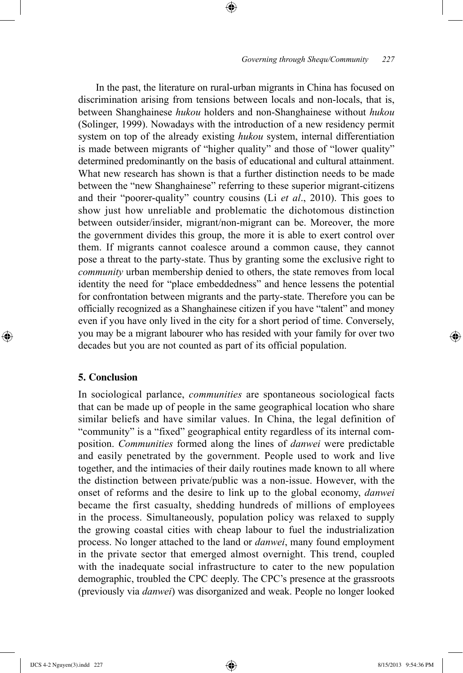In the past, the literature on rural-urban migrants in China has focused on discrimination arising from tensions between locals and non-locals, that is, between Shanghainese *hukou* holders and non-Shanghainese without *hukou* (Solinger, 1999). Nowadays with the introduction of a new residency permit system on top of the already existing *hukou* system, internal differentiation is made between migrants of "higher quality" and those of "lower quality" determined predominantly on the basis of educational and cultural attainment. What new research has shown is that a further distinction needs to be made between the "new Shanghainese" referring to these superior migrant-citizens and their "poorer-quality" country cousins (Li *et al*., 2010). This goes to show just how unreliable and problematic the dichotomous distinction between outsider/insider, migrant/non-migrant can be. Moreover, the more the government divides this group, the more it is able to exert control over them. If migrants cannot coalesce around a common cause, they cannot pose a threat to the party-state. Thus by granting some the exclusive right to *community* urban membership denied to others, the state removes from local identity the need for "place embeddedness" and hence lessens the potential for confrontation between migrants and the party-state. Therefore you can be officially recognized as a Shanghainese citizen if you have "talent" and money even if you have only lived in the city for a short period of time. Conversely, you may be a migrant labourer who has resided with your family for over two decades but you are not counted as part of its official population.

⊕

# **5. Conclusion**

⊕

In sociological parlance, *communities* are spontaneous sociological facts that can be made up of people in the same geographical location who share similar beliefs and have similar values. In China, the legal definition of "community" is a "fixed" geographical entity regardless of its internal composition. *Communities* formed along the lines of *danwei* were predictable and easily penetrated by the government. People used to work and live together, and the intimacies of their daily routines made known to all where the distinction between private/public was a non-issue. However, with the onset of reforms and the desire to link up to the global economy, *danwei* became the first casualty, shedding hundreds of millions of employees in the process. Simultaneously, population policy was relaxed to supply the growing coastal cities with cheap labour to fuel the industrialization process. No longer attached to the land or *danwei*, many found employment in the private sector that emerged almost overnight. This trend, coupled with the inadequate social infrastructure to cater to the new population demographic, troubled the CPC deeply. The CPC's presence at the grassroots (previously via *danwei*) was disorganized and weak. People no longer looked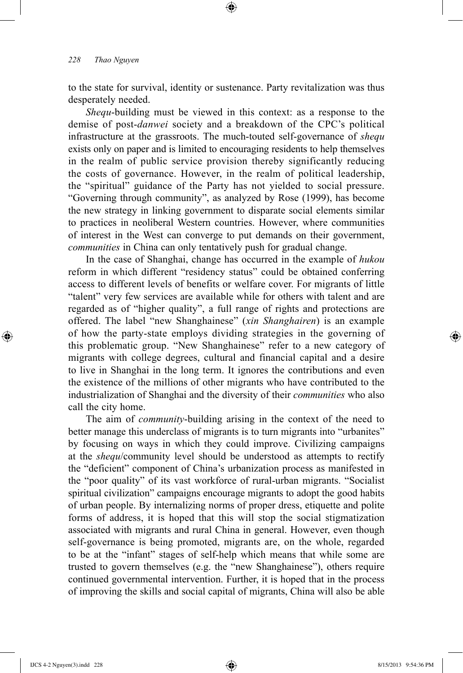to the state for survival, identity or sustenance. Party revitalization was thus desperately needed.

⊕

*Shequ*-building must be viewed in this context: as a response to the demise of post-*danwei* society and a breakdown of the CPC's political infrastructure at the grassroots. The much-touted self-governance of *shequ* exists only on paper and is limited to encouraging residents to help themselves in the realm of public service provision thereby significantly reducing the costs of governance. However, in the realm of political leadership, the "spiritual" guidance of the Party has not yielded to social pressure. "Governing through community", as analyzed by Rose (1999), has become the new strategy in linking government to disparate social elements similar to practices in neoliberal Western countries. However, where communities of interest in the West can converge to put demands on their government, *communities* in China can only tentatively push for gradual change.

In the case of Shanghai, change has occurred in the example of *hukou* reform in which different "residency status" could be obtained conferring access to different levels of benefits or welfare cover. For migrants of little "talent" very few services are available while for others with talent and are regarded as of "higher quality", a full range of rights and protections are offered. The label "new Shanghainese" (*xin Shanghairen*) is an example of how the party-state employs dividing strategies in the governing of this problematic group. "New Shanghainese" refer to a new category of migrants with college degrees, cultural and financial capital and a desire to live in Shanghai in the long term. It ignores the contributions and even the existence of the millions of other migrants who have contributed to the industrialization of Shanghai and the diversity of their *communities* who also call the city home.

The aim of *community*-building arising in the context of the need to better manage this underclass of migrants is to turn migrants into "urbanites" by focusing on ways in which they could improve. Civilizing campaigns at the *shequ*/community level should be understood as attempts to rectify the "deficient" component of China's urbanization process as manifested in the "poor quality" of its vast workforce of rural-urban migrants. "Socialist spiritual civilization" campaigns encourage migrants to adopt the good habits of urban people. By internalizing norms of proper dress, etiquette and polite forms of address, it is hoped that this will stop the social stigmatization associated with migrants and rural China in general. However, even though self-governance is being promoted, migrants are, on the whole, regarded to be at the "infant" stages of self-help which means that while some are trusted to govern themselves (e.g. the "new Shanghainese"), others require continued governmental intervention. Further, it is hoped that in the process of improving the skills and social capital of migrants, China will also be able

⊕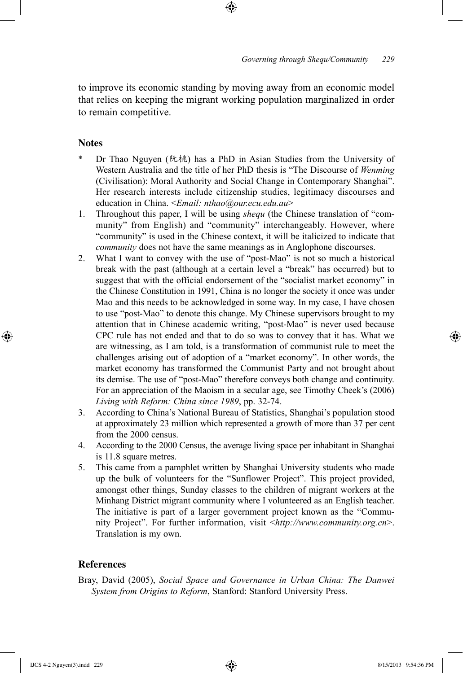to improve its economic standing by moving away from an economic model that relies on keeping the migrant working population marginalized in order to remain competitive.

⊕

# **Notes**

⊕

- Dr Thao Nguyen (阮桃) has a PhD in Asian Studies from the University of Western Australia and the title of her PhD thesis is "The Discourse of *Wenming* (Civilisation): Moral Authority and Social Change in Contemporary Shanghai". Her research interests include citizenship studies, legitimacy discourses and education in China. <*Email: nthao@our.ecu.edu.au*>
- 1. Throughout this paper, I will be using *shequ* (the Chinese translation of "community" from English) and "community" interchangeably. However, where "community" is used in the Chinese context, it will be italicized to indicate that *community* does not have the same meanings as in Anglophone discourses.
- 2. What I want to convey with the use of "post-Mao" is not so much a historical break with the past (although at a certain level a "break" has occurred) but to suggest that with the official endorsement of the "socialist market economy" in the Chinese Constitution in 1991, China is no longer the society it once was under Mao and this needs to be acknowledged in some way. In my case, I have chosen to use "post-Mao" to denote this change. My Chinese supervisors brought to my attention that in Chinese academic writing, "post-Mao" is never used because CPC rule has not ended and that to do so was to convey that it has. What we are witnessing, as I am told, is a transformation of communist rule to meet the challenges arising out of adoption of a "market economy". In other words, the market economy has transformed the Communist Party and not brought about its demise. The use of "post-Mao" therefore conveys both change and continuity. For an appreciation of the Maoism in a secular age, see Timothy Cheek's (2006) *Living with Reform: China since 1989*, pp. 32-74.
- 3. According to China's National Bureau of Statistics, Shanghai's population stood at approximately 23 million which represented a growth of more than 37 per cent from the 2000 census.
- 4. According to the 2000 Census, the average living space per inhabitant in Shanghai is 11.8 square metres.
- 5. This came from a pamphlet written by Shanghai University students who made up the bulk of volunteers for the "Sunflower Project". This project provided, amongst other things, Sunday classes to the children of migrant workers at the Minhang District migrant community where I volunteered as an English teacher. The initiative is part of a larger government project known as the "Community Project". For further information, visit <*http://www.community.org.cn*>. Translation is my own.

# **References**

Bray, David (2005), *Social Space and Governance in Urban China: The Danwei System from Origins to Reform*, Stanford: Stanford University Press.

IJCS 4-2 Nguyen(3).indd 229 8/15/2013 9:54:36 PM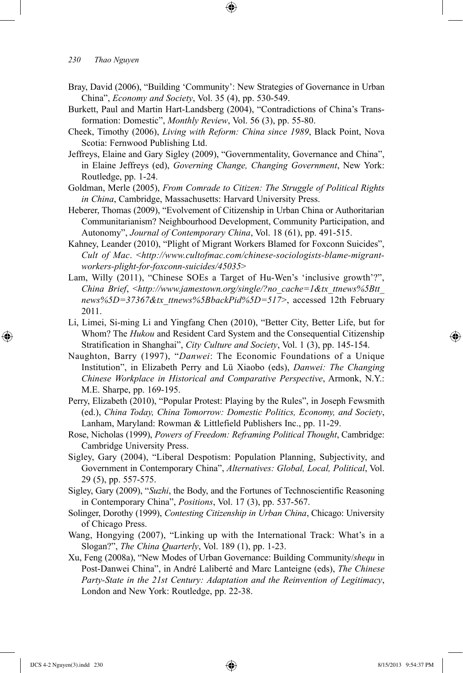Bray, David (2006), "Building 'Community': New Strategies of Governance in Urban China", *Economy and Society*, Vol. 35 (4), pp. 530-549.

⊕

- Burkett, Paul and Martin Hart-Landsberg (2004), "Contradictions of China's Transformation: Domestic", *Monthly Review*, Vol. 56 (3), pp. 55-80.
- Cheek, Timothy (2006), *Living with Reform: China since 1989*, Black Point, Nova Scotia: Fernwood Publishing Ltd.
- Jeffreys, Elaine and Gary Sigley (2009), "Governmentality, Governance and China", in Elaine Jeffreys (ed), *Governing Change, Changing Government*, New York: Routledge, pp. 1-24.
- Goldman, Merle (2005), *From Comrade to Citizen: The Struggle of Political Rights in China*, Cambridge, Massachusetts: Harvard University Press.
- Heberer, Thomas (2009), "Evolvement of Citizenship in Urban China or Authoritarian Communitarianism? Neighbourhood Development, Community Participation, and Autonomy", *Journal of Contemporary China*, Vol. 18 (61), pp. 491-515.
- Kahney, Leander (2010), "Plight of Migrant Workers Blamed for Foxconn Suicides", *Cult of Mac*. <*http://www.cultofmac.com/chinese-sociologists-blame-migrantworkers-plight-for-foxconn-suicides/45035*>
- Lam, Willy (2011), "Chinese SOEs a Target of Hu-Wen's 'inclusive growth'?", *China Brief*, <*http://www.jamestown.org/single/?no\_cache=1&tx\_ttnews%5Btt\_ news%5D=37367&tx\_ttnews%5BbackPid%5D=517*>, accessed 12th February 2011.
- Li, Limei, Si-ming Li and Yingfang Chen (2010), "Better City, Better Life, but for Whom? The *Hukou* and Resident Card System and the Consequential Citizenship Stratification in Shanghai", *City Culture and Society*, Vol. 1 (3), pp. 145-154.
- Naughton, Barry (1997), "*Danwei*: The Economic Foundations of a Unique Institution", in Elizabeth Perry and Lü Xiaobo (eds), *Danwei: The Changing Chinese Workplace in Historical and Comparative Perspective*, Armonk, N.Y.: M.E. Sharpe, pp. 169-195.
- Perry, Elizabeth (2010), "Popular Protest: Playing by the Rules", in Joseph Fewsmith (ed.), *China Today, China Tomorrow: Domestic Politics, Economy, and Society*, Lanham, Maryland: Rowman & Littlefield Publishers Inc., pp. 11-29.
- Rose, Nicholas (1999), *Powers of Freedom: Reframing Political Thought*, Cambridge: Cambridge University Press.
- Sigley, Gary (2004), "Liberal Despotism: Population Planning, Subjectivity, and Government in Contemporary China", *Alternatives: Global, Local, Political*, Vol. 29 (5), pp. 557-575.
- Sigley, Gary (2009), "*Suzhi*, the Body, and the Fortunes of Technoscientific Reasoning in Contemporary China", *Positions*, Vol. 17 (3), pp. 537-567.
- Solinger, Dorothy (1999), *Contesting Citizenship in Urban China*, Chicago: University of Chicago Press.
- Wang, Hongying (2007), "Linking up with the International Track: What's in a Slogan?", *The China Quarterly*, Vol. 189 (1), pp. 1-23.
- Xu, Feng (2008a), "New Modes of Urban Governance: Building Community/*shequ* in Post-Danwei China", in André Laliberté and Marc Lanteigne (eds), *The Chinese Party-State in the 21st Century: Adaptation and the Reinvention of Legitimacy*, London and New York: Routledge, pp. 22-38.

⊕

↔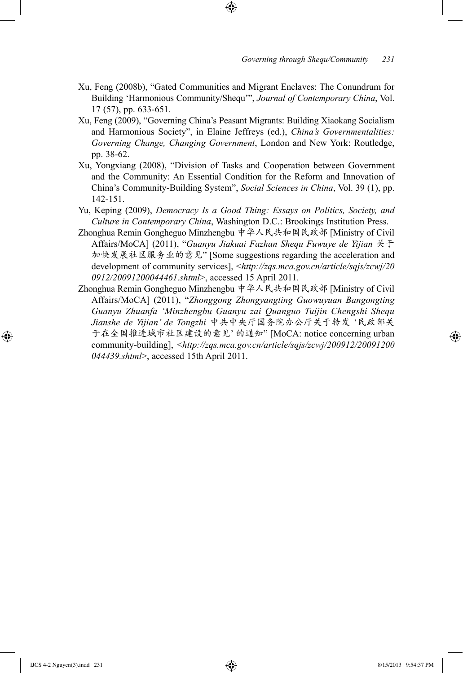Xu, Feng (2008b), "Gated Communities and Migrant Enclaves: The Conundrum for Building 'Harmonious Community/Shequ'", *Journal of Contemporary China*, Vol. 17 (57), pp. 633-651.

⊕

- Xu, Feng (2009), "Governing China's Peasant Migrants: Building Xiaokang Socialism and Harmonious Society", in Elaine Jeffreys (ed.), *China's Governmentalities: Governing Change, Changing Government*, London and New York: Routledge, pp. 38-62.
- Xu, Yongxiang (2008), "Division of Tasks and Cooperation between Government and the Community: An Essential Condition for the Reform and Innovation of China's Community-Building System", *Social Sciences in China*, Vol. 39 (1), pp. 142-151.
- Yu, Keping (2009), *Democracy Is a Good Thing: Essays on Politics, Society, and Culture in Contemporary China*, Washington D.C.: Brookings Institution Press.
- Zhonghua Remin Gongheguo Minzhengbu 中华人民共和国民政部 [Ministry of Civil Affairs/MoCA] (2011), "*Guanyu Jiakuai Fazhan Shequ Fuwuye de Yijian* 关于 加快发展社区服务业的意见" [Some suggestions regarding the acceleration and development of community services], <*http://zqs.mca.gov.cn/article/sqjs/zcwj/20 0912/20091200044461.shtml*>, accessed 15 April 2011.
- Zhonghua Remin Gongheguo Minzhengbu 中华人民共和国民政部 [Ministry of Civil Affairs/MoCA] (2011), "*Zhonggong Zhongyangting Guowuyuan Bangongting Guanyu Zhuanfa 'Minzhengbu Guanyu zai Quanguo Tuijin Chengshi Shequ Jianshe de Yijian' de Tongzhi* 中共中央厅国务院办公厅关于转发 '民政部关 于在全国推进城市社区建设的意见' 的通知" [MoCA: notice concerning urban community-building], <*http://zqs.mca.gov.cn/article/sqjs/zcwj/200912/20091200 044439.shtml*>, accessed 15th April 2011.

⊕

↔